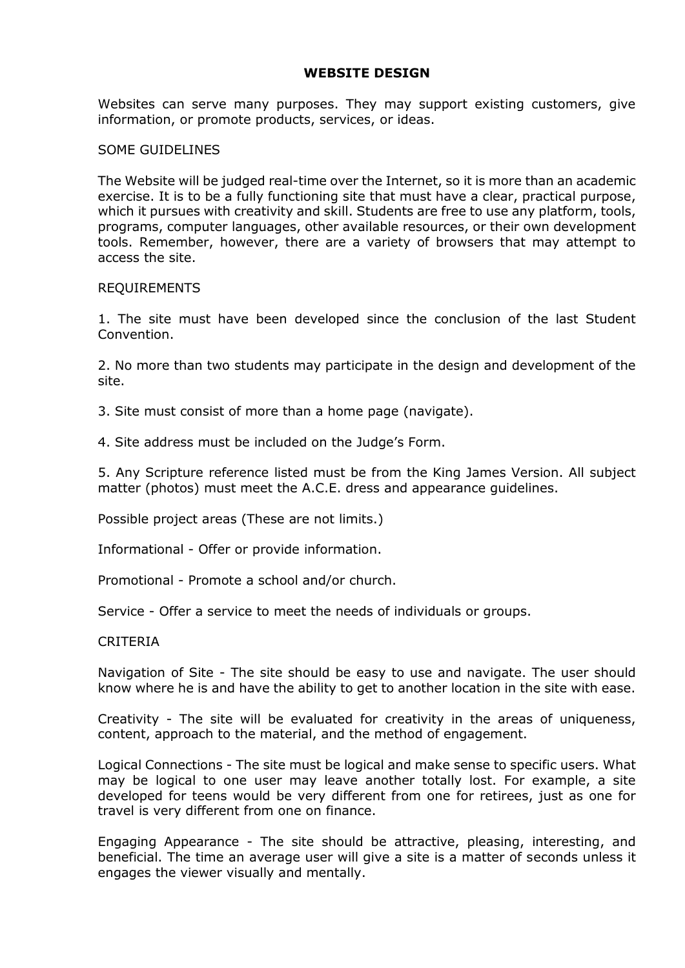# **WEBSITE DESIGN**

Websites can serve many purposes. They may support existing customers, give information, or promote products, services, or ideas.

### SOME GUIDELINES

The Website will be judged real-time over the Internet, so it is more than an academic exercise. It is to be a fully functioning site that must have a clear, practical purpose, which it pursues with creativity and skill. Students are free to use any platform, tools, programs, computer languages, other available resources, or their own development tools. Remember, however, there are a variety of browsers that may attempt to access the site.

#### REQUIREMENTS

1. The site must have been developed since the conclusion of the last Student Convention.

2. No more than two students may participate in the design and development of the site.

3. Site must consist of more than a home page (navigate).

4. Site address must be included on the Judge's Form.

5. Any Scripture reference listed must be from the King James Version. All subject matter (photos) must meet the A.C.E. dress and appearance guidelines.

Possible project areas (These are not limits.)

Informational - Offer or provide information.

Promotional - Promote a school and/or church.

Service - Offer a service to meet the needs of individuals or groups.

#### CRITERIA

Navigation of Site - The site should be easy to use and navigate. The user should know where he is and have the ability to get to another location in the site with ease.

Creativity - The site will be evaluated for creativity in the areas of uniqueness, content, approach to the material, and the method of engagement.

Logical Connections - The site must be logical and make sense to specific users. What may be logical to one user may leave another totally lost. For example, a site developed for teens would be very different from one for retirees, just as one for travel is very different from one on finance.

Engaging Appearance - The site should be attractive, pleasing, interesting, and beneficial. The time an average user will give a site is a matter of seconds unless it engages the viewer visually and mentally.